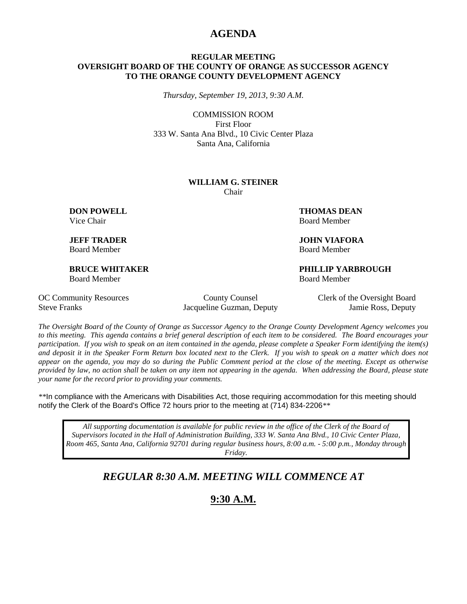### **AGENDA**

#### **REGULAR MEETING OVERSIGHT BOARD OF THE COUNTY OF ORANGE AS SUCCESSOR AGENCY TO THE ORANGE COUNTY DEVELOPMENT AGENCY**

*Thursday, September 19, 2013, 9:30 A.M.*

COMMISSION ROOM First Floor 333 W. Santa Ana Blvd., 10 Civic Center Plaza Santa Ana, California

#### **WILLIAM G. STEINER** Chair

Board Member Board Member

Board Member Board Member

**DON POWELL THOMAS DEAN** Vice Chair **Board Member** Board Member

**JEFF TRADER JOHN VIAFORA**

**BRUCE WHITAKER PHILLIP YARBROUGH**

Steve Franks Jacqueline Guzman, Deputy Jamie Ross, Deputy

OC Community Resources County County Counsel Clerk of the Oversight Board

*The Oversight Board of the County of Orange as Successor Agency to the Orange County Development Agency welcomes you to this meeting. This agenda contains a brief general description of each item to be considered. The Board encourages your participation. If you wish to speak on an item contained in the agenda, please complete a Speaker Form identifying the item(s) and deposit it in the Speaker Form Return box located next to the Clerk. If you wish to speak on a matter which does not appear on the agenda, you may do so during the Public Comment period at the close of the meeting. Except as otherwise provided by law, no action shall be taken on any item not appearing in the agenda. When addressing the Board, please state your name for the record prior to providing your comments.* 

*\*\**In compliance with the Americans with Disabilities Act, those requiring accommodation for this meeting should notify the Clerk of the Board's Office 72 hours prior to the meeting at (714) 834-2206*\*\**

*All supporting documentation is available for public review in the office of the Clerk of the Board of Supervisors located in the Hall of Administration Building, 333 W. Santa Ana Blvd., 10 Civic Center Plaza, Room 465, Santa Ana, California 92701 during regular business hours, 8:00 a.m. - 5:00 p.m., Monday through Friday.*

# *REGULAR 8:30 A.M. MEETING WILL COMMENCE AT*

**9:30 A.M.**